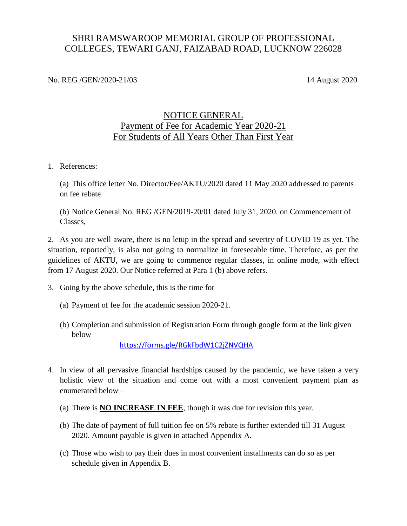#### SHRI RAMSWAROOP MEMORIAL GROUP OF PROFESSIONAL COLLEGES, TEWARI GANJ, FAIZABAD ROAD, LUCKNOW 226028

No. REG /GEN/2020-21/03 14 August 2020

#### NOTICE GENERAL Payment of Fee for Academic Year 2020-21 For Students of All Years Other Than First Year

1. References:

(a) This office letter No. Director/Fee/AKTU/2020 dated 11 May 2020 addressed to parents on fee rebate.

(b) Notice General No. REG /GEN/2019-20/01 dated July 31, 2020. on Commencement of Classes,

2. As you are well aware, there is no letup in the spread and severity of COVID 19 as yet. The situation, reportedly, is also not going to normalize in foreseeable time. Therefore, as per the guidelines of AKTU, we are going to commence regular classes, in online mode, with effect from 17 August 2020. Our Notice referred at Para 1 (b) above refers.

- 3. Going by the above schedule, this is the time for
	- (a) Payment of fee for the academic session 2020-21.
	- (b) Completion and submission of Registration Form through google form at the link given below –

<https://forms.gle/RGkFbdW1C2jZNVQHA>

- 4. In view of all pervasive financial hardships caused by the pandemic, we have taken a very holistic view of the situation and come out with a most convenient payment plan as enumerated below –
	- (a) There is **NO INCREASE IN FEE**, though it was due for revision this year.
	- (b) The date of payment of full tuition fee on 5% rebate is further extended till 31 August 2020. Amount payable is given in attached Appendix A.
	- (c) Those who wish to pay their dues in most convenient installments can do so as per schedule given in Appendix B.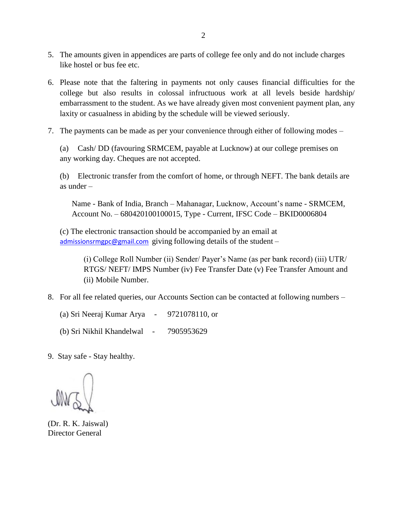- 5. The amounts given in appendices are parts of college fee only and do not include charges like hostel or bus fee etc.
- 6. Please note that the faltering in payments not only causes financial difficulties for the college but also results in colossal infructuous work at all levels beside hardship/ embarrassment to the student. As we have already given most convenient payment plan, any laxity or casualness in abiding by the schedule will be viewed seriously.
- 7. The payments can be made as per your convenience through either of following modes –

(a) Cash/ DD (favouring SRMCEM, payable at Lucknow) at our college premises on any working day. Cheques are not accepted.

(b) Electronic transfer from the comfort of home, or through NEFT. The bank details are as under –

Name - Bank of India, Branch – Mahanagar, Lucknow, Account's name - SRMCEM, Account No. – 680420100100015, Type - Current, IFSC Code – BKID0006804

(c) The electronic transaction should be accompanied by an email at [admissionsrmgpc@gmail.com](mailto:admissionsrmgpc@gmail.com) giving following details of the student –

> (i) College Roll Number (ii) Sender/ Payer's Name (as per bank record) (iii) UTR/ RTGS/ NEFT/ IMPS Number (iv) Fee Transfer Date (v) Fee Transfer Amount and (ii) Mobile Number.

8. For all fee related queries, our Accounts Section can be contacted at following numbers –

(a) Sri Neeraj Kumar Arya - 9721078110, or

(b) Sri Nikhil Khandelwal - 7905953629

9. Stay safe - Stay healthy.

(Dr. R. K. Jaiswal) Director General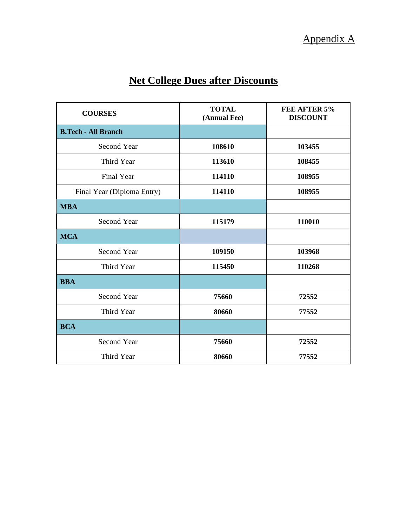# **Net College Dues after Discounts**

| <b>COURSES</b>             | <b>TOTAL</b><br>(Annual Fee) | FEE AFTER 5%<br><b>DISCOUNT</b> |
|----------------------------|------------------------------|---------------------------------|
| <b>B.Tech - All Branch</b> |                              |                                 |
| Second Year                | 108610                       | 103455                          |
| Third Year                 | 113610                       | 108455                          |
| <b>Final Year</b>          | 114110                       | 108955                          |
| Final Year (Diploma Entry) | 114110                       | 108955                          |
| <b>MBA</b>                 |                              |                                 |
| <b>Second Year</b>         | 115179                       | 110010                          |
| <b>MCA</b>                 |                              |                                 |
| <b>Second Year</b>         | 109150                       | 103968                          |
| Third Year                 | 115450                       | 110268                          |
| <b>BBA</b>                 |                              |                                 |
| <b>Second Year</b>         | 75660                        | 72552                           |
| Third Year                 | 80660                        | 77552                           |
| <b>BCA</b>                 |                              |                                 |
| <b>Second Year</b>         | 75660                        | 72552                           |
| Third Year                 | 80660                        | 77552                           |